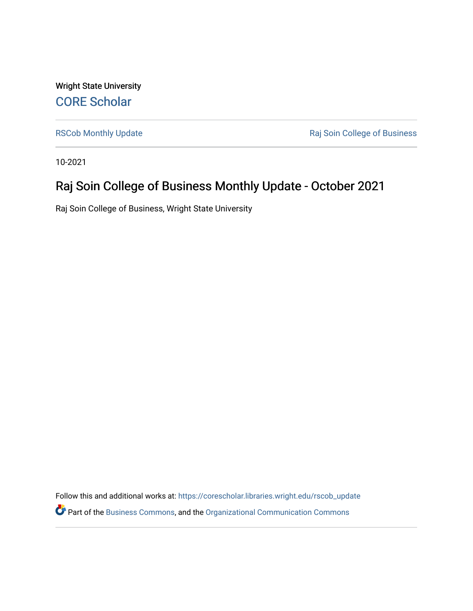Wright State University [CORE Scholar](https://corescholar.libraries.wright.edu/)

[RSCob Monthly Update](https://corescholar.libraries.wright.edu/rscob_update) **RSCob Monthly Update Raj Soin College of Business** 

10-2021

### Raj Soin College of Business Monthly Update - October 2021

Raj Soin College of Business, Wright State University

Follow this and additional works at: [https://corescholar.libraries.wright.edu/rscob\\_update](https://corescholar.libraries.wright.edu/rscob_update?utm_source=corescholar.libraries.wright.edu%2Frscob_update%2F24&utm_medium=PDF&utm_campaign=PDFCoverPages)  Part of the [Business Commons](http://network.bepress.com/hgg/discipline/622?utm_source=corescholar.libraries.wright.edu%2Frscob_update%2F24&utm_medium=PDF&utm_campaign=PDFCoverPages), and the [Organizational Communication Commons](http://network.bepress.com/hgg/discipline/335?utm_source=corescholar.libraries.wright.edu%2Frscob_update%2F24&utm_medium=PDF&utm_campaign=PDFCoverPages)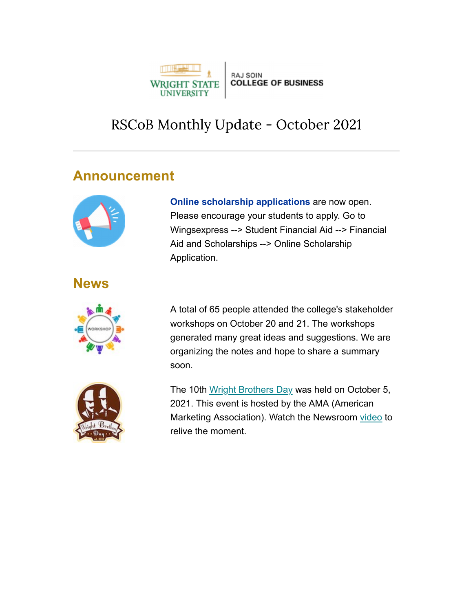

# RSCoB Monthly Update - October 2021

## Announcement



#### **News**



Online scholarship applications are now open. Please encourage your students to apply. Go to Wingsexpress --> Student Financial Aid --> Financial Aid and Scholarships --> Online Scholarship Application.

A total of 65 people attended the college's stakeholder workshops on October 20 and 21. The workshops generated many great ideas and suggestions. We are organizing the notes and hope to share a summary soon.

The 10th Wright Brothers Day was held on October 5, 2021. This event is hosted by the AMA (American Marketing Association). Watch the Newsroom video to relive the moment.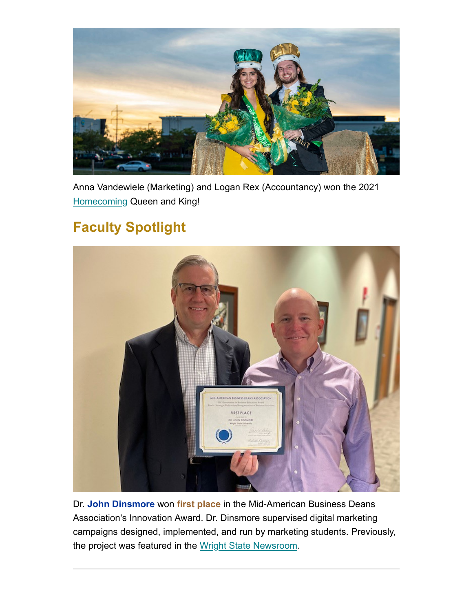

Anna Vandewiele (Marketing) and Logan Rex (Accountancy) won the 2021 Homecoming Queen and King!

# Faculty Spotlight



Dr. John Dinsmore won first place in the Mid-American Business Deans Association's Innovation Award. Dr. Dinsmore supervised digital marketing campaigns designed, implemented, and run by marketing students. Previously, the project was featured in the Wright State Newsroom.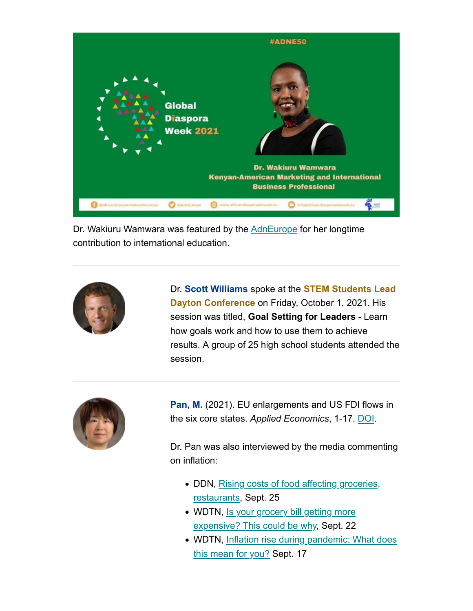

Dr. Wakiuru Wamwara was featured by the AdnEurope for her longtime contribution to international education.



Dr. Scott Williams spoke at the **STEM Students Lead** Dayton Conference on Friday, October 1, 2021. His session was titled, Goal Setting for Leaders - Learn how goals work and how to use them to achieve results. A group of 25 high school students attended the session.



Pan, M. (2021). EU enlargements and US FDI flows in the six core states. Applied Economics, 1-17. DOI.

Dr. Pan was also interviewed by the media commenting on inflation:

- DDN, Rising costs of food affecting groceries, restaurants, Sept. 25
- WDTN, Is your grocery bill getting more expensive? This could be why, Sept. 22
- WDTN, Inflation rise during pandemic: What does this mean for you? Sept. 17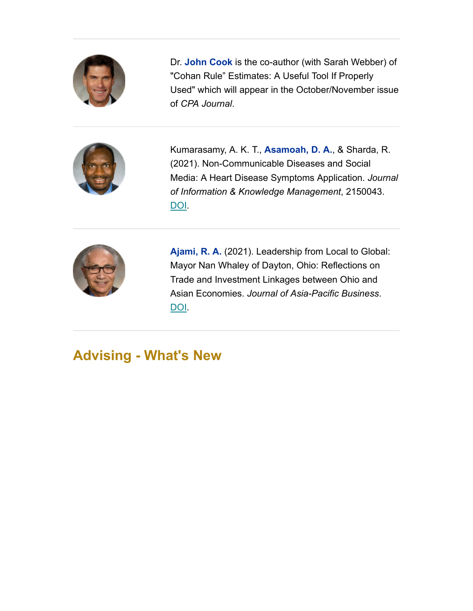

Dr. John Cook is the co-author (with Sarah Webber) of "Cohan Rule" Estimates: A Useful Tool If Properly Used" which will appear in the October/November issue of CPA Journal.



Kumarasamy, A. K. T., **Asamoah, D. A.**, & Sharda, R. (2021). Non-Communicable Diseases and Social Media: A Heart Disease Symptoms Application. Journal of Information & Knowledge Management, 2150043. DOI.



Ajami, R. A. (2021). Leadership from Local to Global: Mayor Nan Whaley of Dayton, Ohio: Reflections on Trade and Investment Linkages between Ohio and Asian Economies. Journal of Asia-Pacific Business. DOI.

# Advising - What's New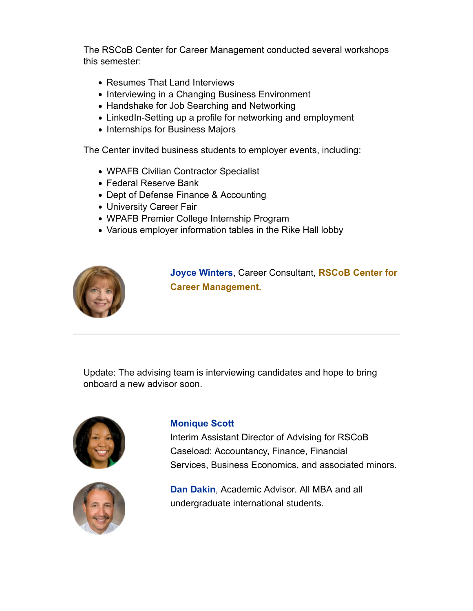The RSCoB Center for Career Management conducted several workshops this semester:

- Resumes That Land Interviews
- Interviewing in a Changing Business Environment
- Handshake for Job Searching and Networking
- LinkedIn-Setting up a profile for networking and employment
- Internships for Business Majors

The Center invited business students to employer events, including:

- WPAFB Civilian Contractor Specialist
- Federal Reserve Bank
- Dept of Defense Finance & Accounting
- University Career Fair
- WPAFB Premier College Internship Program
- Various employer information tables in the Rike Hall lobby



Joyce Winters, Career Consultant, RSCoB Center for Career Management.

 Update: The advising team is interviewing candidates and hope to bring onboard a new advisor soon.





#### Monique Scott

 Interim Assistant Director of Advising for RSCoB Caseload: Accountancy, Finance, Financial Services, Business Economics, and associated minors.

Dan Dakin, Academic Advisor. All MBA and all undergraduate international students.